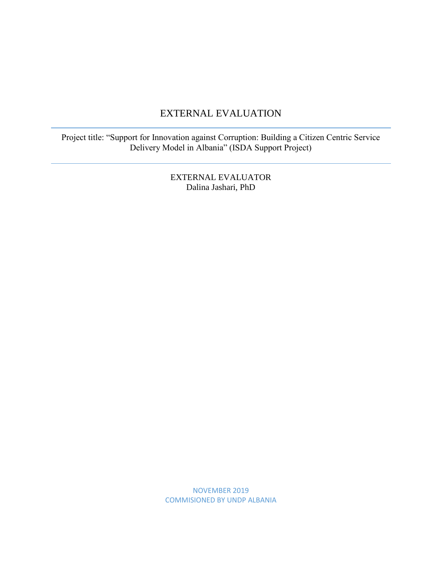### EXTERNAL EVALUATION

Project title: "Support for Innovation against Corruption: Building a Citizen Centric Service Delivery Model in Albania" (ISDA Support Project)

> EXTERNAL EVALUATOR Dalina Jashari, PhD

NOVEMBER 2019 COMMISIONED BY UNDP ALBANIA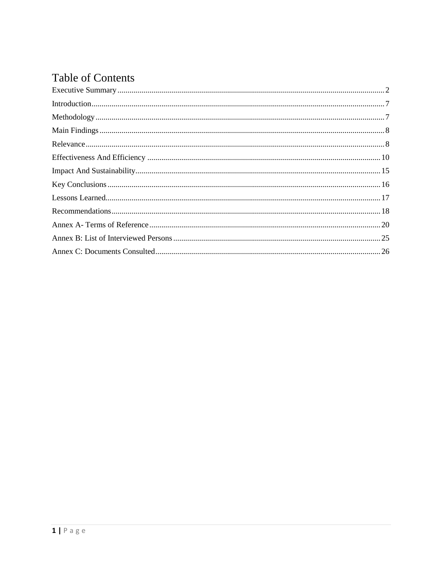# **Table of Contents**

<span id="page-1-0"></span>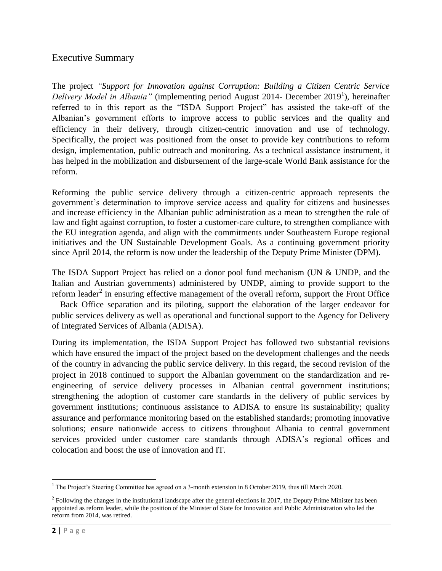### Executive Summary

The project *"Support for Innovation against Corruption: Building a Citizen Centric Service*  Delivery Model in Albania" (implementing period August 2014- December 2019<sup>1</sup>), hereinafter referred to in this report as the "ISDA Support Project" has assisted the take-off of the Albanian's government efforts to improve access to public services and the quality and efficiency in their delivery, through citizen-centric innovation and use of technology. Specifically, the project was positioned from the onset to provide key contributions to reform design, implementation, public outreach and monitoring. As a technical assistance instrument, it has helped in the mobilization and disbursement of the large-scale World Bank assistance for the reform.

Reforming the public service delivery through a citizen-centric approach represents the government's determination to improve service access and quality for citizens and businesses and increase efficiency in the Albanian public administration as a mean to strengthen the rule of law and fight against corruption, to foster a customer-care culture, to strengthen compliance with the EU integration agenda, and align with the commitments under Southeastern Europe regional initiatives and the UN Sustainable Development Goals. As a continuing government priority since April 2014, the reform is now under the leadership of the Deputy Prime Minister (DPM).

The ISDA Support Project has relied on a donor pool fund mechanism (UN & UNDP, and the Italian and Austrian governments) administered by UNDP, aiming to provide support to the reform leader<sup>2</sup> in ensuring effective management of the overall reform, support the Front Office – Back Office separation and its piloting, support the elaboration of the larger endeavor for public services delivery as well as operational and functional support to the Agency for Delivery of Integrated Services of Albania (ADISA).

During its implementation, the ISDA Support Project has followed two substantial revisions which have ensured the impact of the project based on the development challenges and the needs of the country in advancing the public service delivery. In this regard, the second revision of the project in 2018 continued to support the Albanian government on the standardization and reengineering of service delivery processes in Albanian central government institutions; strengthening the adoption of customer care standards in the delivery of public services by government institutions; continuous assistance to ADISA to ensure its sustainability; quality assurance and performance monitoring based on the established standards; promoting innovative solutions; ensure nationwide access to citizens throughout Albania to central government services provided under customer care standards through ADISA's regional offices and colocation and boost the use of innovation and IT.

 $\overline{\phantom{a}}$ <sup>1</sup> The Project's Steering Committee has agreed on a 3-month extension in 8 October 2019, thus till March 2020.

 $<sup>2</sup>$  Following the changes in the institutional landscape after the general elections in 2017, the Deputy Prime Minister has been</sup> appointed as reform leader, while the position of the Minister of State for Innovation and Public Administration who led the reform from 2014, was retired.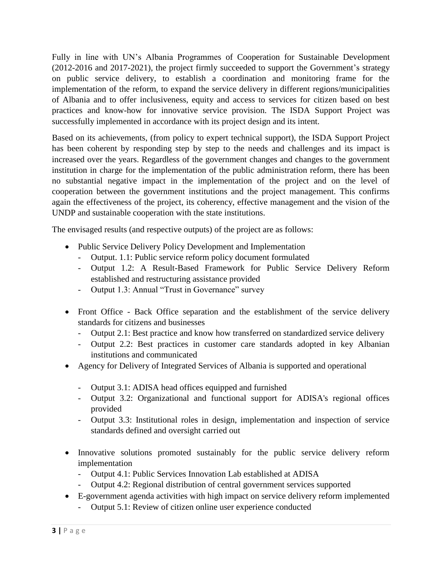Fully in line with UN's Albania Programmes of Cooperation for Sustainable Development (2012-2016 and 2017-2021), the project firmly succeeded to support the Government's strategy on public service delivery, to establish a coordination and monitoring frame for the implementation of the reform, to expand the service delivery in different regions/municipalities of Albania and to offer inclusiveness, equity and access to services for citizen based on best practices and know-how for innovative service provision. The ISDA Support Project was successfully implemented in accordance with its project design and its intent.

Based on its achievements, (from policy to expert technical support), the ISDA Support Project has been coherent by responding step by step to the needs and challenges and its impact is increased over the years. Regardless of the government changes and changes to the government institution in charge for the implementation of the public administration reform, there has been no substantial negative impact in the implementation of the project and on the level of cooperation between the government institutions and the project management. This confirms again the effectiveness of the project, its coherency, effective management and the vision of the UNDP and sustainable cooperation with the state institutions.

The envisaged results (and respective outputs) of the project are as follows:

- Public Service Delivery Policy Development and Implementation
	- Output. 1.1: Public service reform policy document formulated
	- Output 1.2: A Result-Based Framework for Public Service Delivery Reform established and restructuring assistance provided
	- Output 1.3: Annual "Trust in Governance" survey
- Front Office Back Office separation and the establishment of the service delivery standards for citizens and businesses
	- Output 2.1: Best practice and know how transferred on standardized service delivery
	- Output 2.2: Best practices in customer care standards adopted in key Albanian institutions and communicated
- Agency for Delivery of Integrated Services of Albania is supported and operational
	- Output 3.1: ADISA head offices equipped and furnished
	- Output 3.2: Organizational and functional support for ADISA's regional offices provided
	- Output 3.3: Institutional roles in design, implementation and inspection of service standards defined and oversight carried out
- Innovative solutions promoted sustainably for the public service delivery reform implementation
	- Output 4.1: Public Services Innovation Lab established at ADISA
	- Output 4.2: Regional distribution of central government services supported
- E-government agenda activities with high impact on service delivery reform implemented
	- Output 5.1: Review of citizen online user experience conducted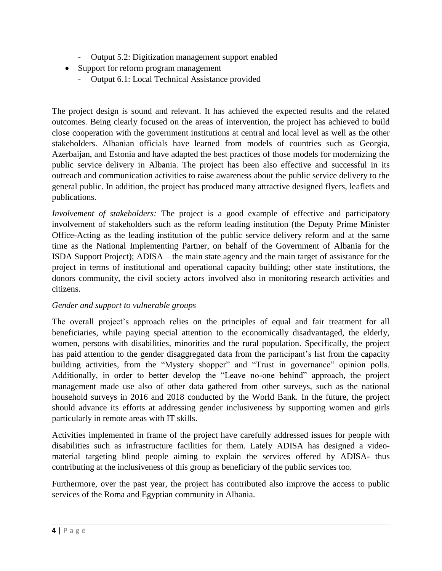- Output 5.2: Digitization management support enabled
- Support for reform program management
	- Output 6.1: Local Technical Assistance provided

The project design is sound and relevant. It has achieved the expected results and the related outcomes. Being clearly focused on the areas of intervention, the project has achieved to build close cooperation with the government institutions at central and local level as well as the other stakeholders. Albanian officials have learned from models of countries such as Georgia, Azerbaijan, and Estonia and have adapted the best practices of those models for modernizing the public service delivery in Albania. The project has been also effective and successful in its outreach and communication activities to raise awareness about the public service delivery to the general public. In addition, the project has produced many attractive designed flyers, leaflets and publications.

*Involvement of stakeholders:* The project is a good example of effective and participatory involvement of stakeholders such as the reform leading institution (the Deputy Prime Minister Office-Acting as the leading institution of the public service delivery reform and at the same time as the National Implementing Partner, on behalf of the Government of Albania for the ISDA Support Project); ADISA – the main state agency and the main target of assistance for the project in terms of institutional and operational capacity building; other state institutions, the donors community, the civil society actors involved also in monitoring research activities and citizens.

### *Gender and support to vulnerable groups*

The overall project's approach relies on the principles of equal and fair treatment for all beneficiaries, while paying special attention to the economically disadvantaged, the elderly, women, persons with disabilities, minorities and the rural population. Specifically, the project has paid attention to the gender disaggregated data from the participant's list from the capacity building activities, from the "Mystery shopper" and "Trust in governance" opinion polls. Additionally, in order to better develop the "Leave no-one behind" approach, the project management made use also of other data gathered from other surveys, such as the national household surveys in 2016 and 2018 conducted by the World Bank. In the future, the project should advance its efforts at addressing gender inclusiveness by supporting women and girls particularly in remote areas with IT skills.

Activities implemented in frame of the project have carefully addressed issues for people with disabilities such as infrastructure facilities for them. Lately ADISA has designed a videomaterial targeting blind people aiming to explain the services offered by ADISA- thus contributing at the inclusiveness of this group as beneficiary of the public services too.

Furthermore, over the past year, the project has contributed also improve the access to public services of the Roma and Egyptian community in Albania.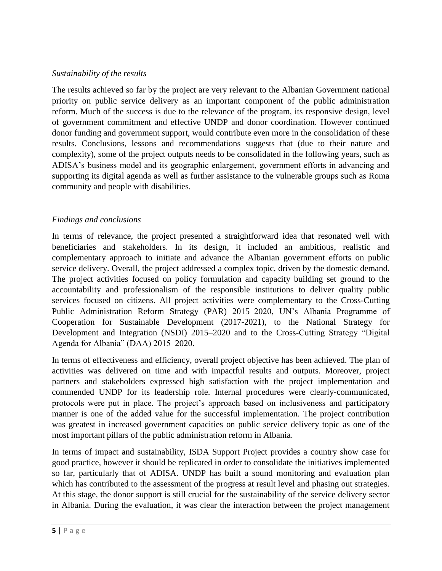### *Sustainability of the results*

The results achieved so far by the project are very relevant to the Albanian Government national priority on public service delivery as an important component of the public administration reform. Much of the success is due to the relevance of the program, its responsive design, level of government commitment and effective UNDP and donor coordination. However continued donor funding and government support, would contribute even more in the consolidation of these results. Conclusions, lessons and recommendations suggests that (due to their nature and complexity), some of the project outputs needs to be consolidated in the following years, such as ADISA's business model and its geographic enlargement, government efforts in advancing and supporting its digital agenda as well as further assistance to the vulnerable groups such as Roma community and people with disabilities.

### *Findings and conclusions*

In terms of relevance, the project presented a straightforward idea that resonated well with beneficiaries and stakeholders. In its design, it included an ambitious, realistic and complementary approach to initiate and advance the Albanian government efforts on public service delivery. Overall, the project addressed a complex topic, driven by the domestic demand. The project activities focused on policy formulation and capacity building set ground to the accountability and professionalism of the responsible institutions to deliver quality public services focused on citizens. All project activities were complementary to the Cross-Cutting Public Administration Reform Strategy (PAR) 2015–2020, UN's Albania Programme of Cooperation for Sustainable Development (2017-2021), to the National Strategy for Development and Integration (NSDI) 2015–2020 and to the Cross-Cutting Strategy "Digital Agenda for Albania" (DAA) 2015–2020.

In terms of effectiveness and efficiency, overall project objective has been achieved. The plan of activities was delivered on time and with impactful results and outputs. Moreover, project partners and stakeholders expressed high satisfaction with the project implementation and commended UNDP for its leadership role. Internal procedures were clearly-communicated, protocols were put in place. The project's approach based on inclusiveness and participatory manner is one of the added value for the successful implementation. The project contribution was greatest in increased government capacities on public service delivery topic as one of the most important pillars of the public administration reform in Albania.

In terms of impact and sustainability, ISDA Support Project provides a country show case for good practice, however it should be replicated in order to consolidate the initiatives implemented so far, particularly that of ADISA. UNDP has built a sound monitoring and evaluation plan which has contributed to the assessment of the progress at result level and phasing out strategies. At this stage, the donor support is still crucial for the sustainability of the service delivery sector in Albania. During the evaluation, it was clear the interaction between the project management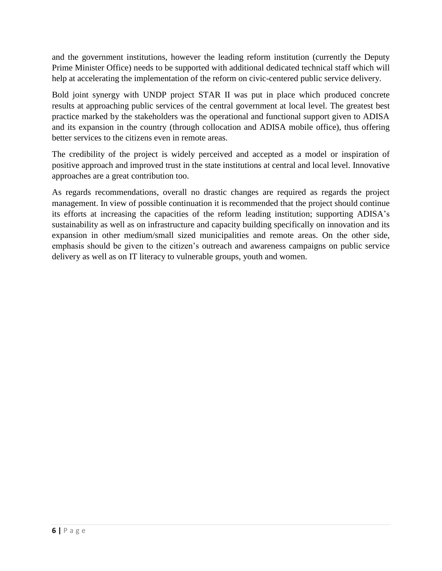and the government institutions, however the leading reform institution (currently the Deputy Prime Minister Office) needs to be supported with additional dedicated technical staff which will help at accelerating the implementation of the reform on civic-centered public service delivery.

Bold joint synergy with UNDP project STAR II was put in place which produced concrete results at approaching public services of the central government at local level. The greatest best practice marked by the stakeholders was the operational and functional support given to ADISA and its expansion in the country (through collocation and ADISA mobile office), thus offering better services to the citizens even in remote areas.

The credibility of the project is widely perceived and accepted as a model or inspiration of positive approach and improved trust in the state institutions at central and local level. Innovative approaches are a great contribution too.

As regards recommendations, overall no drastic changes are required as regards the project management. In view of possible continuation it is recommended that the project should continue its efforts at increasing the capacities of the reform leading institution; supporting ADISA's sustainability as well as on infrastructure and capacity building specifically on innovation and its expansion in other medium/small sized municipalities and remote areas. On the other side, emphasis should be given to the citizen's outreach and awareness campaigns on public service delivery as well as on IT literacy to vulnerable groups, youth and women.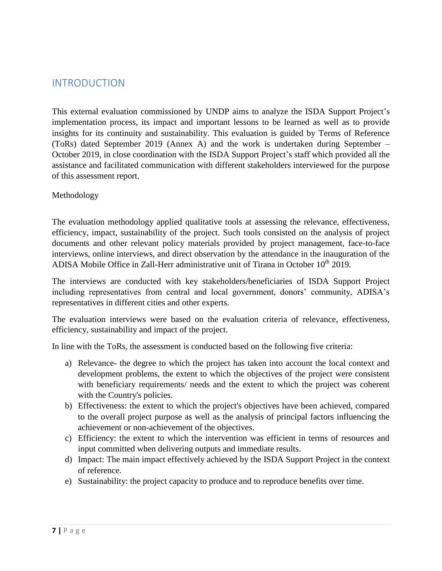### <span id="page-7-0"></span>INTRODUCTION

This external evaluation commissioned by UNDP aims to analyze the ISDA Support Project's implementation process, its impact and important lessons to be learned as well as to provide insights for its continuity and sustainability. This evaluation is guided by Terms of Reference (ToRs) dated September 2019 (Annex A) and the work is undertaken during September – October 2019, in close coordination with the ISDA Support Project's staff which provided all the assistance and facilitated communication with different stakeholders interviewed for the purpose of this assessment report.

#### <span id="page-7-1"></span>Methodology

The evaluation methodology applied qualitative tools at assessing the relevance, effectiveness, efficiency, impact, sustainability of the project. Such tools consisted on the analysis of project documents and other relevant policy materials provided by project management, face-to-face interviews, online interviews, and direct observation by the attendance in the inauguration of the ADISA Mobile Office in Zall-Herr administrative unit of Tirana in October 10<sup>th</sup> 2019.

The interviews are conducted with key stakeholders/beneficiaries of ISDA Support Project including representatives from central and local government, donors' community, ADISA's representatives in different cities and other experts.

The evaluation interviews were based on the evaluation criteria of relevance, effectiveness, efficiency, sustainability and impact of the project.

In line with the ToRs, the assessment is conducted based on the following five criteria:

- a) Relevance- the degree to which the project has taken into account the local context and development problems, the extent to which the objectives of the project were consistent with beneficiary requirements/ needs and the extent to which the project was coherent with the Country's policies.
- b) Effectiveness: the extent to which the project's objectives have been achieved, compared to the overall project purpose as well as the analysis of principal factors influencing the achievement or non-achievement of the objectives.
- c) Efficiency: the extent to which the intervention was efficient in terms of resources and input committed when delivering outputs and immediate results.
- d) Impact: The main impact effectively achieved by the ISDA Support Project in the context of reference.
- e) Sustainability: the project capacity to produce and to reproduce benefits over time.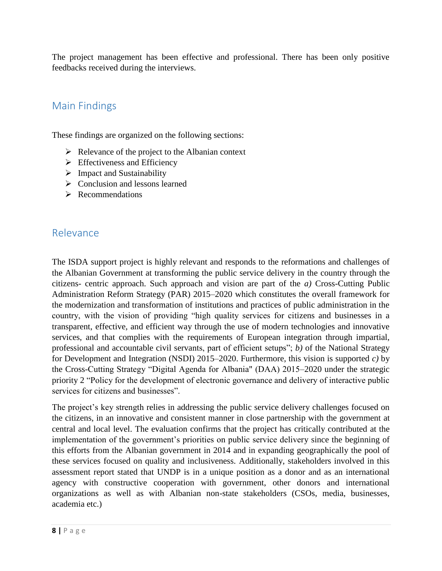The project management has been effective and professional. There has been only positive feedbacks received during the interviews.

## <span id="page-8-0"></span>Main Findings

These findings are organized on the following sections:

- $\triangleright$  Relevance of the project to the Albanian context
- $\triangleright$  Effectiveness and Efficiency
- $\triangleright$  Impact and Sustainability
- $\triangleright$  Conclusion and lessons learned
- $\triangleright$  Recommendations

### <span id="page-8-1"></span>Relevance

The ISDA support project is highly relevant and responds to the reformations and challenges of the Albanian Government at transforming the public service delivery in the country through the citizens- centric approach. Such approach and vision are part of the *a)* Cross-Cutting Public Administration Reform Strategy (PAR) 2015–2020 which constitutes the overall framework for the modernization and transformation of institutions and practices of public administration in the country, with the vision of providing "high quality services for citizens and businesses in a transparent, effective, and efficient way through the use of modern technologies and innovative services, and that complies with the requirements of European integration through impartial, professional and accountable civil servants, part of efficient setups"; *b)* of the National Strategy for Development and Integration (NSDI) 2015–2020. Furthermore, this vision is supported *c)* by the Cross-Cutting Strategy "Digital Agenda for Albania" (DAA) 2015–2020 under the strategic priority 2 "Policy for the development of electronic governance and delivery of interactive public services for citizens and businesses".

The project's key strength relies in addressing the public service delivery challenges focused on the citizens, in an innovative and consistent manner in close partnership with the government at central and local level. The evaluation confirms that the project has critically contributed at the implementation of the government's priorities on public service delivery since the beginning of this efforts from the Albanian government in 2014 and in expanding geographically the pool of these services focused on quality and inclusiveness. Additionally, stakeholders involved in this assessment report stated that UNDP is in a unique position as a donor and as an international agency with constructive cooperation with government, other donors and international organizations as well as with Albanian non-state stakeholders (CSOs, media, businesses, academia etc.)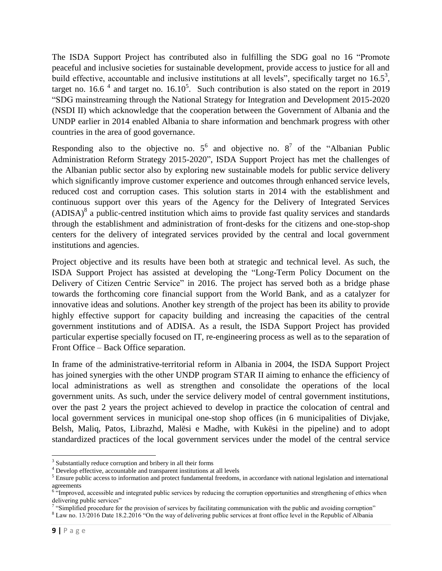The ISDA Support Project has contributed also in fulfilling the SDG goal no 16 "Promote peaceful and inclusive societies for sustainable development, provide access to justice for all and build effective, accountable and inclusive institutions at all levels", specifically target no  $16.5^3$ , target no. 16.6<sup> $4$ </sup> and target no. 16.10<sup>5</sup>. Such contribution is also stated on the report in 2019 "SDG mainstreaming through the National Strategy for Integration and Development 2015-2020 (NSDI II) which acknowledge that the cooperation between the Government of Albania and the UNDP earlier in 2014 enabled Albania to share information and benchmark progress with other countries in the area of good governance.

Responding also to the objective no.  $5^6$  and objective no.  $8^7$  of the "Albanian Public Administration Reform Strategy 2015-2020", ISDA Support Project has met the challenges of the Albanian public sector also by exploring new sustainable models for public service delivery which significantly improve customer experience and outcomes through enhanced service levels, reduced cost and corruption cases. This solution starts in 2014 with the establishment and continuous support over this years of the Agency for the Delivery of Integrated Services  $(ADISA)^8$  a public-centred institution which aims to provide fast quality services and standards through the establishment and administration of front-desks for the citizens and one-stop-shop centers for the delivery of integrated services provided by the central and local government institutions and agencies.

Project objective and its results have been both at strategic and technical level. As such, the ISDA Support Project has assisted at developing the "Long-Term Policy Document on the Delivery of Citizen Centric Service" in 2016. The project has served both as a bridge phase towards the forthcoming core financial support from the World Bank, and as a catalyzer for innovative ideas and solutions. Another key strength of the project has been its ability to provide highly effective support for capacity building and increasing the capacities of the central government institutions and of ADISA. As a result, the ISDA Support Project has provided particular expertise specially focused on IT, re-engineering process as well as to the separation of Front Office – Back Office separation.

In frame of the administrative-territorial reform in Albania in 2004, the ISDA Support Project has joined synergies with the other UNDP program STAR II aiming to enhance the efficiency of local administrations as well as strengthen and consolidate the operations of the local government units. As such, under the service delivery model of central government institutions, over the past 2 years the project achieved to develop in practice the colocation of central and local government services in municipal one-stop shop offices (in 6 municipalities of Divjake, Belsh, Maliq, Patos, Librazhd, Malësi e Madhe, with Kukësi in the pipeline) and to adopt standardized practices of the local government services under the model of the central service

 $\overline{\phantom{a}}$ 

<sup>&</sup>lt;sup>3</sup> Substantially reduce corruption and bribery in all their forms

<sup>&</sup>lt;sup>4</sup> Develop effective, accountable and transparent institutions at all levels

<sup>&</sup>lt;sup>5</sup> Ensure public access to information and protect fundamental freedoms, in accordance with national legislation and international agreements<br><sup>6</sup> "Improved, accessible and integrated public services by reducing the corruption opportunities and strengthening of ethics when

delivering public services"<br><sup>7</sup> "Simplified procedure for the provision of services by facilitating communication with the public and avoiding corruption"

<sup>8</sup> Law no. 13/2016 Date 18.2.2016 "On the way of delivering public services at front office level in the Republic of Albania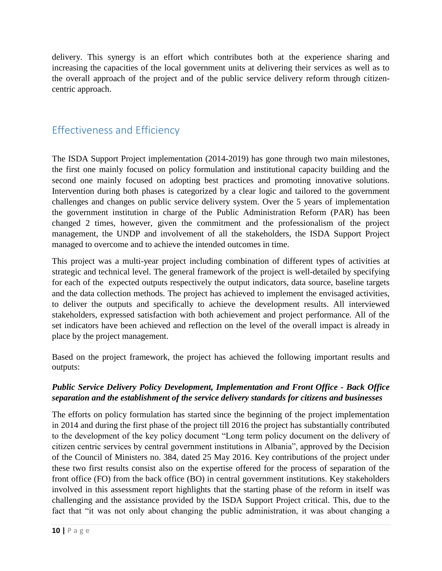delivery. This synergy is an effort which contributes both at the experience sharing and increasing the capacities of the local government units at delivering their services as well as to the overall approach of the project and of the public service delivery reform through citizencentric approach.

### <span id="page-10-0"></span>Effectiveness and Efficiency

The ISDA Support Project implementation (2014-2019) has gone through two main milestones, the first one mainly focused on policy formulation and institutional capacity building and the second one mainly focused on adopting best practices and promoting innovative solutions. Intervention during both phases is categorized by a clear logic and tailored to the government challenges and changes on public service delivery system. Over the 5 years of implementation the government institution in charge of the Public Administration Reform (PAR) has been changed 2 times, however, given the commitment and the professionalism of the project management, the UNDP and involvement of all the stakeholders, the ISDA Support Project managed to overcome and to achieve the intended outcomes in time.

This project was a multi-year project including combination of different types of activities at strategic and technical level. The general framework of the project is well-detailed by specifying for each of the expected outputs respectively the output indicators, data source, baseline targets and the data collection methods. The project has achieved to implement the envisaged activities, to deliver the outputs and specifically to achieve the development results. All interviewed stakeholders, expressed satisfaction with both achievement and project performance. All of the set indicators have been achieved and reflection on the level of the overall impact is already in place by the project management.

Based on the project framework, the project has achieved the following important results and outputs:

### *Public Service Delivery Policy Development, Implementation and Front Office - Back Office separation and the establishment of the service delivery standards for citizens and businesses*

The efforts on policy formulation has started since the beginning of the project implementation in 2014 and during the first phase of the project till 2016 the project has substantially contributed to the development of the key policy document "Long term policy document on the delivery of citizen centric services by central government institutions in Albania", approved by the Decision of the Council of Ministers no. 384, dated 25 May 2016. Key contributions of the project under these two first results consist also on the expertise offered for the process of separation of the front office (FO) from the back office (BO) in central government institutions. Key stakeholders involved in this assessment report highlights that the starting phase of the reform in itself was challenging and the assistance provided by the ISDA Support Project critical. This, due to the fact that "it was not only about changing the public administration, it was about changing a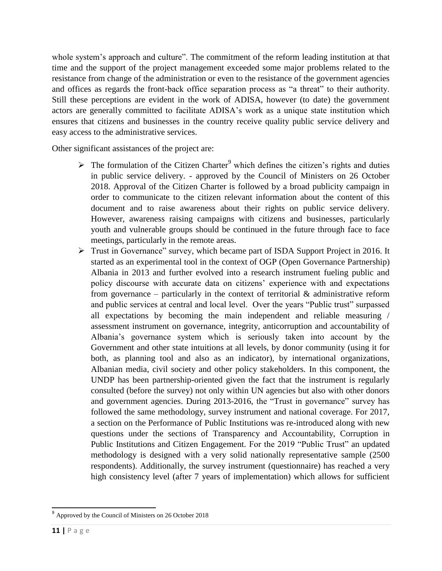whole system's approach and culture". The commitment of the reform leading institution at that time and the support of the project management exceeded some major problems related to the resistance from change of the administration or even to the resistance of the government agencies and offices as regards the front-back office separation process as "a threat" to their authority. Still these perceptions are evident in the work of ADISA, however (to date) the government actors are generally committed to facilitate ADISA's work as a unique state institution which ensures that citizens and businesses in the country receive quality public service delivery and easy access to the administrative services.

Other significant assistances of the project are:

- $\triangleright$  The formulation of the Citizen Charter<sup>9</sup> which defines the citizen's rights and duties in public service delivery. - approved by the Council of Ministers on 26 October 2018. Approval of the Citizen Charter is followed by a broad publicity campaign in order to communicate to the citizen relevant information about the content of this document and to raise awareness about their rights on public service delivery. However, awareness raising campaigns with citizens and businesses, particularly youth and vulnerable groups should be continued in the future through face to face meetings, particularly in the remote areas.
- Trust in Governance" survey, which became part of ISDA Support Project in 2016. It started as an experimental tool in the context of OGP (Open Governance Partnership) Albania in 2013 and further evolved into a research instrument fueling public and policy discourse with accurate data on citizens' experience with and expectations from governance – particularly in the context of territorial  $\&$  administrative reform and public services at central and local level. Over the years "Public trust" surpassed all expectations by becoming the main independent and reliable measuring / assessment instrument on governance, integrity, anticorruption and accountability of Albania's governance system which is seriously taken into account by the Government and other state intuitions at all levels, by donor community (using it for both, as planning tool and also as an indicator), by international organizations, Albanian media, civil society and other policy stakeholders. In this component, the UNDP has been partnership-oriented given the fact that the instrument is regularly consulted (before the survey) not only within UN agencies but also with other donors and government agencies. During 2013-2016, the "Trust in governance" survey has followed the same methodology, survey instrument and national coverage. For 2017, a section on the Performance of Public Institutions was re-introduced along with new questions under the sections of Transparency and Accountability, Corruption in Public Institutions and Citizen Engagement. For the 2019 "Public Trust" an updated methodology is designed with a very solid nationally representative sample (2500 respondents). Additionally, the survey instrument (questionnaire) has reached a very high consistency level (after 7 years of implementation) which allows for sufficient

 $\overline{\phantom{a}}$  $9$  Approved by the Council of Ministers on 26 October 2018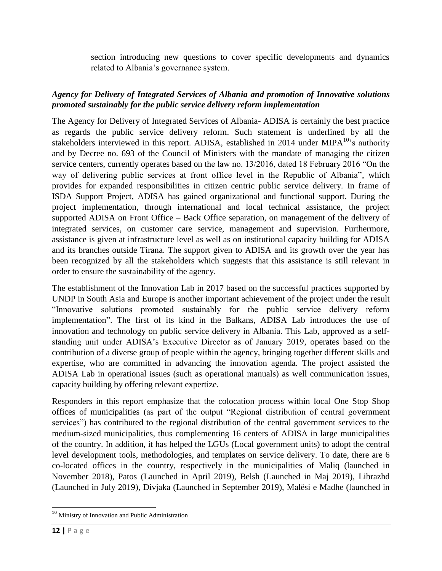section introducing new questions to cover specific developments and dynamics related to Albania's governance system.

### *Agency for Delivery of Integrated Services of Albania and promotion of Innovative solutions promoted sustainably for the public service delivery reform implementation*

The Agency for Delivery of Integrated Services of Albania- ADISA is certainly the best practice as regards the public service delivery reform. Such statement is underlined by all the stakeholders interviewed in this report. ADISA, established in 2014 under MIPA $^{10}$ 's authority and by Decree no. 693 of the Council of Ministers with the mandate of managing the citizen service centers, currently operates based on the law no. 13/2016, dated 18 February 2016 "On the way of delivering public services at front office level in the Republic of Albania", which provides for expanded responsibilities in citizen centric public service delivery. In frame of ISDA Support Project, ADISA has gained organizational and functional support. During the project implementation, through international and local technical assistance, the project supported ADISA on Front Office – Back Office separation, on management of the delivery of integrated services, on customer care service, management and supervision. Furthermore, assistance is given at infrastructure level as well as on institutional capacity building for ADISA and its branches outside Tirana. The support given to ADISA and its growth over the year has been recognized by all the stakeholders which suggests that this assistance is still relevant in order to ensure the sustainability of the agency.

The establishment of the Innovation Lab in 2017 based on the successful practices supported by UNDP in South Asia and Europe is another important achievement of the project under the result "Innovative solutions promoted sustainably for the public service delivery reform implementation". The first of its kind in the Balkans, ADISA Lab introduces the use of innovation and technology on public service delivery in Albania. This Lab, approved as a selfstanding unit under ADISA's Executive Director as of January 2019, operates based on the contribution of a diverse group of people within the agency, bringing together different skills and expertise, who are committed in advancing the innovation agenda. The project assisted the ADISA Lab in operational issues (such as operational manuals) as well communication issues, capacity building by offering relevant expertize.

Responders in this report emphasize that the colocation process within local One Stop Shop offices of municipalities (as part of the output "Regional distribution of central government services") has contributed to the regional distribution of the central government services to the medium-sized municipalities, thus complementing 16 centers of ADISA in large municipalities of the country. In addition, it has helped the LGUs (Local government units) to adopt the central level development tools, methodologies, and templates on service delivery. To date, there are 6 co-located offices in the country, respectively in the municipalities of Maliq (launched in November 2018), Patos (Launched in April 2019), Belsh (Launched in Maj 2019), Librazhd (Launched in July 2019), Divjaka (Launched in September 2019), Malësi e Madhe (launched in

 $\overline{\phantom{a}}$ <sup>10</sup> Ministry of Innovation and Public Administration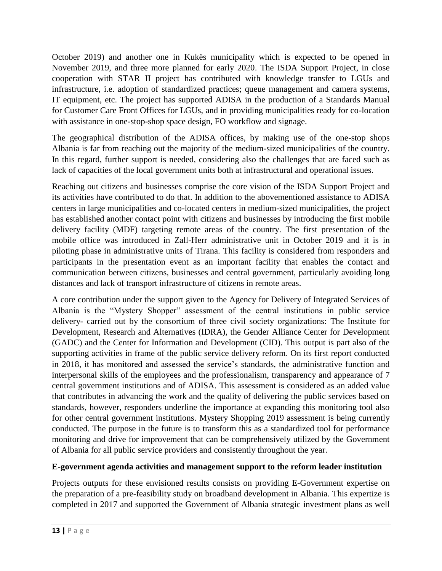October 2019) and another one in Kukës municipality which is expected to be opened in November 2019, and three more planned for early 2020. The ISDA Support Project, in close cooperation with STAR II project has contributed with knowledge transfer to LGUs and infrastructure, i.e. adoption of standardized practices; queue management and camera systems, IT equipment, etc. The project has supported ADISA in the production of a Standards Manual for Customer Care Front Offices for LGUs, and in providing municipalities ready for co-location with assistance in one-stop-shop space design, FO workflow and signage.

The geographical distribution of the ADISA offices, by making use of the one-stop shops Albania is far from reaching out the majority of the medium-sized municipalities of the country. In this regard, further support is needed, considering also the challenges that are faced such as lack of capacities of the local government units both at infrastructural and operational issues.

Reaching out citizens and businesses comprise the core vision of the ISDA Support Project and its activities have contributed to do that. In addition to the abovementioned assistance to ADISA centers in large municipalities and co-located centers in medium-sized municipalities, the project has established another contact point with citizens and businesses by introducing the first mobile delivery facility (MDF) targeting remote areas of the country. The first presentation of the mobile office was introduced in Zall-Herr administrative unit in October 2019 and it is in piloting phase in administrative units of Tirana. This facility is considered from responders and participants in the presentation event as an important facility that enables the contact and communication between citizens, businesses and central government, particularly avoiding long distances and lack of transport infrastructure of citizens in remote areas.

A core contribution under the support given to the Agency for Delivery of Integrated Services of Albania is the "Mystery Shopper" assessment of the central institutions in public service delivery- carried out by the consortium of three civil society organizations: The Institute for Development, Research and Alternatives (IDRA), the Gender Alliance Center for Development (GADC) and the Center for Information and Development (CID). This output is part also of the supporting activities in frame of the public service delivery reform. On its first report conducted in 2018, it has monitored and assessed the service's standards, the administrative function and interpersonal skills of the employees and the professionalism, transparency and appearance of 7 central government institutions and of ADISA. This assessment is considered as an added value that contributes in advancing the work and the quality of delivering the public services based on standards, however, responders underline the importance at expanding this monitoring tool also for other central government institutions. Mystery Shopping 2019 assessment is being currently conducted. The purpose in the future is to transform this as a standardized tool for performance monitoring and drive for improvement that can be comprehensively utilized by the Government of Albania for all public service providers and consistently throughout the year.

### **E-government agenda activities and management support to the reform leader institution**

Projects outputs for these envisioned results consists on providing E-Government expertise on the preparation of a pre-feasibility study on broadband development in Albania. This expertize is completed in 2017 and supported the Government of Albania strategic investment plans as well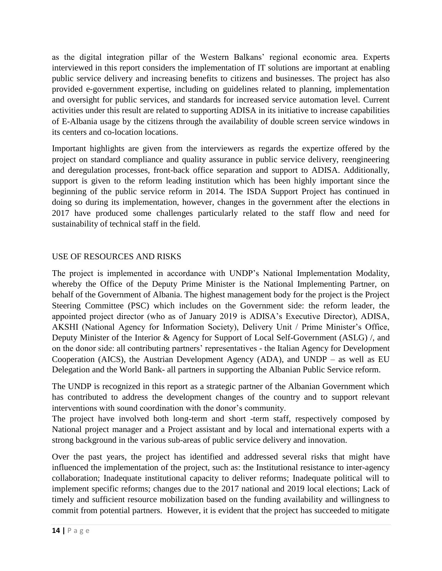as the digital integration pillar of the Western Balkans' regional economic area. Experts interviewed in this report considers the implementation of IT solutions are important at enabling public service delivery and increasing benefits to citizens and businesses. The project has also provided e-government expertise, including on guidelines related to planning, implementation and oversight for public services, and standards for increased service automation level. Current activities under this result are related to supporting ADISA in its initiative to increase capabilities of E-Albania usage by the citizens through the availability of double screen service windows in its centers and co-location locations.

Important highlights are given from the interviewers as regards the expertize offered by the project on standard compliance and quality assurance in public service delivery, reengineering and deregulation processes, front-back office separation and support to ADISA. Additionally, support is given to the reform leading institution which has been highly important since the beginning of the public service reform in 2014. The ISDA Support Project has continued in doing so during its implementation, however, changes in the government after the elections in 2017 have produced some challenges particularly related to the staff flow and need for sustainability of technical staff in the field.

### USE OF RESOURCES AND RISKS

The project is implemented in accordance with UNDP's National Implementation Modality, whereby the Office of the Deputy Prime Minister is the National Implementing Partner, on behalf of the Government of Albania. The highest management body for the project is the Project Steering Committee (PSC) which includes on the Government side: the reform leader, the appointed project director (who as of January 2019 is ADISA's Executive Director), ADISA, AKSHI (National Agency for Information Society), Delivery Unit / Prime Minister's Office, Deputy Minister of the Interior & Agency for Support of Local Self-Government (ASLG) /, and on the donor side: all contributing partners' representatives - the Italian Agency for Development Cooperation (AICS), the Austrian Development Agency (ADA), and UNDP – as well as EU Delegation and the World Bank- all partners in supporting the Albanian Public Service reform.

The UNDP is recognized in this report as a strategic partner of the Albanian Government which has contributed to address the development changes of the country and to support relevant interventions with sound coordination with the donor's community.

The project have involved both long-term and short -term staff, respectively composed by National project manager and a Project assistant and by local and international experts with a strong background in the various sub-areas of public service delivery and innovation.

Over the past years, the project has identified and addressed several risks that might have influenced the implementation of the project, such as: the Institutional resistance to inter-agency collaboration; Inadequate institutional capacity to deliver reforms; Inadequate political will to implement specific reforms; changes due to the 2017 national and 2019 local elections; Lack of timely and sufficient resource mobilization based on the funding availability and willingness to commit from potential partners. However, it is evident that the project has succeeded to mitigate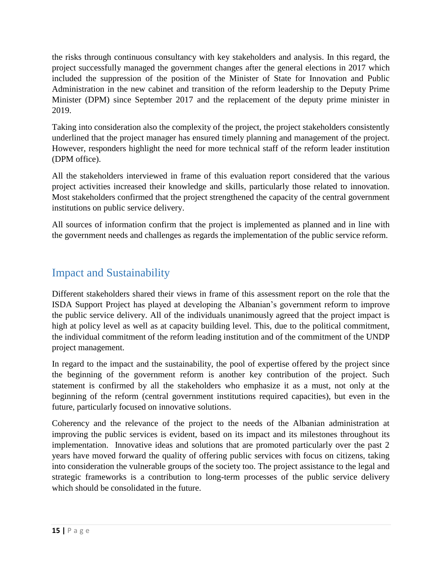the risks through continuous consultancy with key stakeholders and analysis. In this regard, the project successfully managed the government changes after the general elections in 2017 which included the suppression of the position of the Minister of State for Innovation and Public Administration in the new cabinet and transition of the reform leadership to the Deputy Prime Minister (DPM) since September 2017 and the replacement of the deputy prime minister in 2019.

Taking into consideration also the complexity of the project, the project stakeholders consistently underlined that the project manager has ensured timely planning and management of the project. However, responders highlight the need for more technical staff of the reform leader institution (DPM office).

All the stakeholders interviewed in frame of this evaluation report considered that the various project activities increased their knowledge and skills, particularly those related to innovation. Most stakeholders confirmed that the project strengthened the capacity of the central government institutions on public service delivery.

All sources of information confirm that the project is implemented as planned and in line with the government needs and challenges as regards the implementation of the public service reform.

## <span id="page-15-0"></span>Impact and Sustainability

Different stakeholders shared their views in frame of this assessment report on the role that the ISDA Support Project has played at developing the Albanian's government reform to improve the public service delivery. All of the individuals unanimously agreed that the project impact is high at policy level as well as at capacity building level. This, due to the political commitment, the individual commitment of the reform leading institution and of the commitment of the UNDP project management.

In regard to the impact and the sustainability, the pool of expertise offered by the project since the beginning of the government reform is another key contribution of the project. Such statement is confirmed by all the stakeholders who emphasize it as a must, not only at the beginning of the reform (central government institutions required capacities), but even in the future, particularly focused on innovative solutions.

Coherency and the relevance of the project to the needs of the Albanian administration at improving the public services is evident, based on its impact and its milestones throughout its implementation. Innovative ideas and solutions that are promoted particularly over the past 2 years have moved forward the quality of offering public services with focus on citizens, taking into consideration the vulnerable groups of the society too. The project assistance to the legal and strategic frameworks is a contribution to long-term processes of the public service delivery which should be consolidated in the future.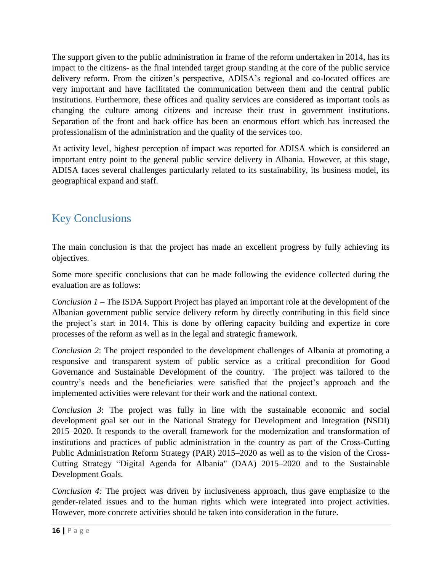The support given to the public administration in frame of the reform undertaken in 2014, has its impact to the citizens- as the final intended target group standing at the core of the public service delivery reform. From the citizen's perspective, ADISA's regional and co-located offices are very important and have facilitated the communication between them and the central public institutions. Furthermore, these offices and quality services are considered as important tools as changing the culture among citizens and increase their trust in government institutions. Separation of the front and back office has been an enormous effort which has increased the professionalism of the administration and the quality of the services too.

At activity level, highest perception of impact was reported for ADISA which is considered an important entry point to the general public service delivery in Albania. However, at this stage, ADISA faces several challenges particularly related to its sustainability, its business model, its geographical expand and staff.

## <span id="page-16-0"></span>Key Conclusions

The main conclusion is that the project has made an excellent progress by fully achieving its objectives.

Some more specific conclusions that can be made following the evidence collected during the evaluation are as follows:

*Conclusion 1* – The ISDA Support Project has played an important role at the development of the Albanian government public service delivery reform by directly contributing in this field since the project's start in 2014. This is done by offering capacity building and expertize in core processes of the reform as well as in the legal and strategic framework.

*Conclusion 2*: The project responded to the development challenges of Albania at promoting a responsive and transparent system of public service as a critical precondition for Good Governance and Sustainable Development of the country. The project was tailored to the country's needs and the beneficiaries were satisfied that the project's approach and the implemented activities were relevant for their work and the national context.

*Conclusion 3*: The project was fully in line with the sustainable economic and social development goal set out in the National Strategy for Development and Integration (NSDI) 2015–2020. It responds to the overall framework for the modernization and transformation of institutions and practices of public administration in the country as part of the Cross-Cutting Public Administration Reform Strategy (PAR) 2015–2020 as well as to the vision of the Cross-Cutting Strategy "Digital Agenda for Albania" (DAA) 2015–2020 and to the Sustainable Development Goals.

*Conclusion 4:* The project was driven by inclusiveness approach, thus gave emphasize to the gender-related issues and to the human rights which were integrated into project activities. However, more concrete activities should be taken into consideration in the future.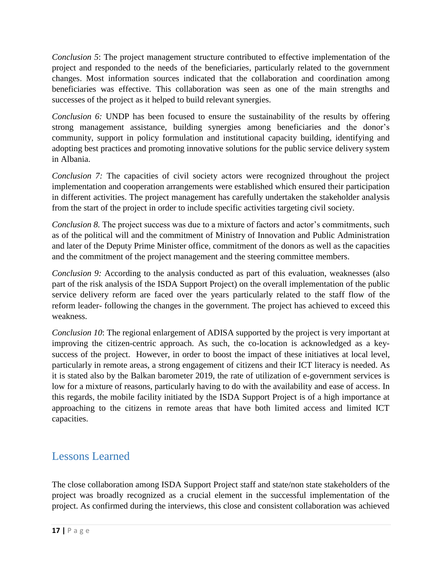*Conclusion 5*: The project management structure contributed to effective implementation of the project and responded to the needs of the beneficiaries, particularly related to the government changes. Most information sources indicated that the collaboration and coordination among beneficiaries was effective. This collaboration was seen as one of the main strengths and successes of the project as it helped to build relevant synergies.

*Conclusion 6:* UNDP has been focused to ensure the sustainability of the results by offering strong management assistance, building synergies among beneficiaries and the donor's community, support in policy formulation and institutional capacity building, identifying and adopting best practices and promoting innovative solutions for the public service delivery system in Albania.

*Conclusion 7:* The capacities of civil society actors were recognized throughout the project implementation and cooperation arrangements were established which ensured their participation in different activities. The project management has carefully undertaken the stakeholder analysis from the start of the project in order to include specific activities targeting civil society.

*Conclusion 8.* The project success was due to a mixture of factors and actor's commitments, such as of the political will and the commitment of Ministry of Innovation and Public Administration and later of the Deputy Prime Minister office, commitment of the donors as well as the capacities and the commitment of the project management and the steering committee members.

*Conclusion 9:* According to the analysis conducted as part of this evaluation, weaknesses (also part of the risk analysis of the ISDA Support Project) on the overall implementation of the public service delivery reform are faced over the years particularly related to the staff flow of the reform leader- following the changes in the government. The project has achieved to exceed this weakness.

*Conclusion 10*: The regional enlargement of ADISA supported by the project is very important at improving the citizen-centric approach. As such, the co-location is acknowledged as a keysuccess of the project. However, in order to boost the impact of these initiatives at local level, particularly in remote areas, a strong engagement of citizens and their ICT literacy is needed. As it is stated also by the Balkan barometer 2019, the rate of utilization of e-government services is low for a mixture of reasons, particularly having to do with the availability and ease of access. In this regards, the mobile facility initiated by the ISDA Support Project is of a high importance at approaching to the citizens in remote areas that have both limited access and limited ICT capacities.

### <span id="page-17-0"></span>Lessons Learned

The close collaboration among ISDA Support Project staff and state/non state stakeholders of the project was broadly recognized as a crucial element in the successful implementation of the project. As confirmed during the interviews, this close and consistent collaboration was achieved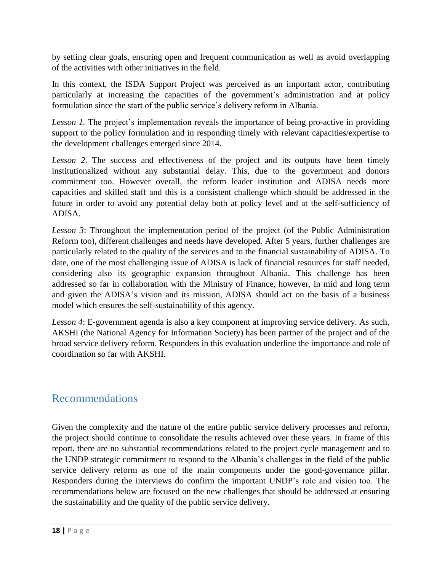by setting clear goals, ensuring open and frequent communication as well as avoid overlapping of the activities with other initiatives in the field.

In this context, the ISDA Support Project was perceived as an important actor, contributing particularly at increasing the capacities of the government's administration and at policy formulation since the start of the public service's delivery reform in Albania.

*Lesson 1.* The project's implementation reveals the importance of being pro-active in providing support to the policy formulation and in responding timely with relevant capacities/expertise to the development challenges emerged since 2014.

*Lesson 2*. The success and effectiveness of the project and its outputs have been timely institutionalized without any substantial delay. This, due to the government and donors commitment too. However overall, the reform leader institution and ADISA needs more capacities and skilled staff and this is a consistent challenge which should be addressed in the future in order to avoid any potential delay both at policy level and at the self-sufficiency of ADISA.

*Lesson 3*: Throughout the implementation period of the project (of the Public Administration Reform too), different challenges and needs have developed. After 5 years, further challenges are particularly related to the quality of the services and to the financial sustainability of ADISA. To date, one of the most challenging issue of ADISA is lack of financial resources for staff needed, considering also its geographic expansion throughout Albania. This challenge has been addressed so far in collaboration with the Ministry of Finance, however, in mid and long term and given the ADISA's vision and its mission, ADISA should act on the basis of a business model which ensures the self-sustainability of this agency.

*Lesson 4*: E-government agenda is also a key component at improving service delivery. As such, AKSHI (the National Agency for Information Society) has been partner of the project and of the broad service delivery reform. Responders in this evaluation underline the importance and role of coordination so far with AKSHI.

## <span id="page-18-0"></span>Recommendations

Given the complexity and the nature of the entire public service delivery processes and reform, the project should continue to consolidate the results achieved over these years. In frame of this report, there are no substantial recommendations related to the project cycle management and to the UNDP strategic commitment to respond to the Albania's challenges in the field of the public service delivery reform as one of the main components under the good-governance pillar. Responders during the interviews do confirm the important UNDP's role and vision too. The recommendations below are focused on the new challenges that should be addressed at ensuring the sustainability and the quality of the public service delivery.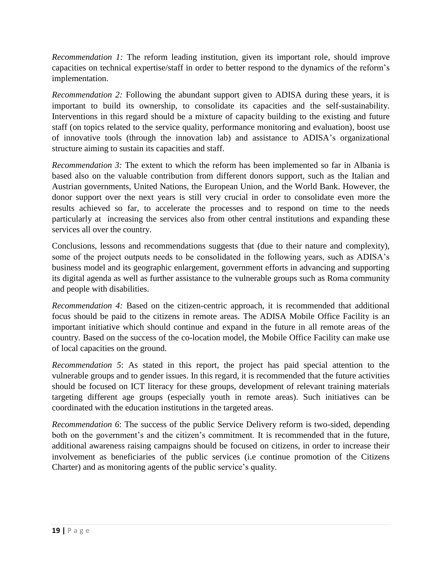*Recommendation 1:* The reform leading institution, given its important role, should improve capacities on technical expertise/staff in order to better respond to the dynamics of the reform's implementation.

*Recommendation 2:* Following the abundant support given to ADISA during these years, it is important to build its ownership, to consolidate its capacities and the self-sustainability. Interventions in this regard should be a mixture of capacity building to the existing and future staff (on topics related to the service quality, performance monitoring and evaluation), boost use of innovative tools (through the innovation lab) and assistance to ADISA's organizational structure aiming to sustain its capacities and staff.

*Recommendation 3:* The extent to which the reform has been implemented so far in Albania is based also on the valuable contribution from different donors support, such as the Italian and Austrian governments, United Nations, the European Union, and the World Bank. However, the donor support over the next years is still very crucial in order to consolidate even more the results achieved so far, to accelerate the processes and to respond on time to the needs particularly at increasing the services also from other central institutions and expanding these services all over the country.

Conclusions, lessons and recommendations suggests that (due to their nature and complexity), some of the project outputs needs to be consolidated in the following years, such as ADISA's business model and its geographic enlargement, government efforts in advancing and supporting its digital agenda as well as further assistance to the vulnerable groups such as Roma community and people with disabilities.

*Recommendation 4:* Based on the citizen-centric approach, it is recommended that additional focus should be paid to the citizens in remote areas. The ADISA Mobile Office Facility is an important initiative which should continue and expand in the future in all remote areas of the country. Based on the success of the co-location model, the Mobile Office Facility can make use of local capacities on the ground.

*Recommendation 5*: As stated in this report, the project has paid special attention to the vulnerable groups and to gender issues. In this regard, it is recommended that the future activities should be focused on ICT literacy for these groups, development of relevant training materials targeting different age groups (especially youth in remote areas). Such initiatives can be coordinated with the education institutions in the targeted areas.

*Recommendation 6*: The success of the public Service Delivery reform is two-sided, depending both on the government's and the citizen's commitment. It is recommended that in the future, additional awareness raising campaigns should be focused on citizens, in order to increase their involvement as beneficiaries of the public services (i.e continue promotion of the Citizens Charter) and as monitoring agents of the public service's quality.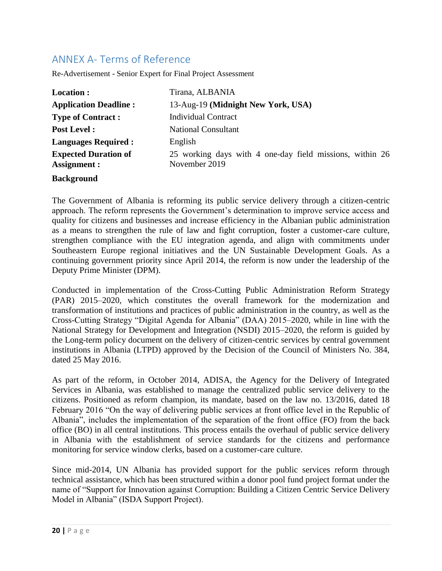### <span id="page-20-0"></span>ANNEX A- Terms of Reference

Re-Advertisement - Senior Expert for Final Project Assessment

| Location :                                  | Tirana, ALBANIA                                                           |  |  |
|---------------------------------------------|---------------------------------------------------------------------------|--|--|
| <b>Application Deadline:</b>                | 13-Aug-19 (Midnight New York, USA)                                        |  |  |
| <b>Type of Contract:</b>                    | <b>Individual Contract</b>                                                |  |  |
| <b>Post Level:</b>                          | <b>National Consultant</b>                                                |  |  |
| <b>Languages Required:</b>                  | English                                                                   |  |  |
| <b>Expected Duration of</b><br>Assignment : | 25 working days with 4 one-day field missions, within 26<br>November 2019 |  |  |
| <b>Background</b>                           |                                                                           |  |  |

The Government of Albania is reforming its public service delivery through a citizen-centric approach. The reform represents the Government's determination to improve service access and quality for citizens and businesses and increase efficiency in the Albanian public administration as a means to strengthen the rule of law and fight corruption, foster a customer-care culture, strengthen compliance with the EU integration agenda, and align with commitments under Southeastern Europe regional initiatives and the UN Sustainable Development Goals. As a continuing government priority since April 2014, the reform is now under the leadership of the Deputy Prime Minister (DPM).

Conducted in implementation of the Cross-Cutting Public Administration Reform Strategy (PAR) 2015–2020, which constitutes the overall framework for the modernization and transformation of institutions and practices of public administration in the country, as well as the Cross-Cutting Strategy "Digital Agenda for Albania" (DAA) 2015–2020, while in line with the National Strategy for Development and Integration (NSDI) 2015–2020, the reform is guided by the Long-term policy document on the delivery of citizen-centric services by central government institutions in Albania (LTPD) approved by the Decision of the Council of Ministers No. 384, dated 25 May 2016.

As part of the reform, in October 2014, ADISA, the Agency for the Delivery of Integrated Services in Albania, was established to manage the centralized public service delivery to the citizens. Positioned as reform champion, its mandate, based on the law no. 13/2016, dated 18 February 2016 "On the way of delivering public services at front office level in the Republic of Albania", includes the implementation of the separation of the front office (FO) from the back office (BO) in all central institutions. This process entails the overhaul of public service delivery in Albania with the establishment of service standards for the citizens and performance monitoring for service window clerks, based on a customer-care culture.

Since mid-2014, UN Albania has provided support for the public services reform through technical assistance, which has been structured within a donor pool fund project format under the name of "Support for Innovation against Corruption: Building a Citizen Centric Service Delivery Model in Albania" (ISDA Support Project).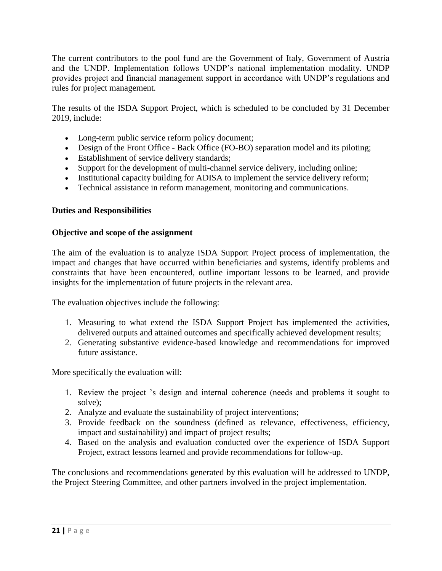The current contributors to the pool fund are the Government of Italy, Government of Austria and the UNDP. Implementation follows UNDP's national implementation modality. UNDP provides project and financial management support in accordance with UNDP's regulations and rules for project management.

The results of the ISDA Support Project, which is scheduled to be concluded by 31 December 2019, include:

- Long-term public service reform policy document;
- Design of the Front Office Back Office (FO-BO) separation model and its piloting;
- Establishment of service delivery standards;
- Support for the development of multi-channel service delivery, including online;
- Institutional capacity building for ADISA to implement the service delivery reform;
- Technical assistance in reform management, monitoring and communications.

#### **Duties and Responsibilities**

#### **Objective and scope of the assignment**

The aim of the evaluation is to analyze ISDA Support Project process of implementation, the impact and changes that have occurred within beneficiaries and systems, identify problems and constraints that have been encountered, outline important lessons to be learned, and provide insights for the implementation of future projects in the relevant area.

The evaluation objectives include the following:

- 1. Measuring to what extend the ISDA Support Project has implemented the activities, delivered outputs and attained outcomes and specifically achieved development results;
- 2. Generating substantive evidence-based knowledge and recommendations for improved future assistance.

More specifically the evaluation will:

- 1. Review the project 's design and internal coherence (needs and problems it sought to solve);
- 2. Analyze and evaluate the sustainability of project interventions;
- 3. Provide feedback on the soundness (defined as relevance, effectiveness, efficiency, impact and sustainability) and impact of project results;
- 4. Based on the analysis and evaluation conducted over the experience of ISDA Support Project, extract lessons learned and provide recommendations for follow-up.

The conclusions and recommendations generated by this evaluation will be addressed to UNDP, the Project Steering Committee, and other partners involved in the project implementation.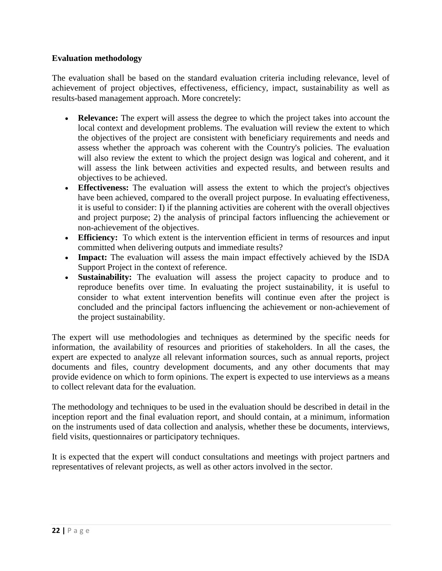### **Evaluation methodology**

The evaluation shall be based on the standard evaluation criteria including relevance, level of achievement of project objectives, effectiveness, efficiency, impact, sustainability as well as results-based management approach. More concretely:

- **Relevance:** The expert will assess the degree to which the project takes into account the local context and development problems. The evaluation will review the extent to which the objectives of the project are consistent with beneficiary requirements and needs and assess whether the approach was coherent with the Country's policies. The evaluation will also review the extent to which the project design was logical and coherent, and it will assess the link between activities and expected results, and between results and objectives to be achieved.
- **Effectiveness:** The evaluation will assess the extent to which the project's objectives have been achieved, compared to the overall project purpose. In evaluating effectiveness, it is useful to consider: I) if the planning activities are coherent with the overall objectives and project purpose; 2) the analysis of principal factors influencing the achievement or non-achievement of the objectives.
- **Efficiency:** To which extent is the intervention efficient in terms of resources and input committed when delivering outputs and immediate results?
- **Impact:** The evaluation will assess the main impact effectively achieved by the ISDA Support Project in the context of reference.
- **Sustainability:** The evaluation will assess the project capacity to produce and to reproduce benefits over time. In evaluating the project sustainability, it is useful to consider to what extent intervention benefits will continue even after the project is concluded and the principal factors influencing the achievement or non-achievement of the project sustainability.

The expert will use methodologies and techniques as determined by the specific needs for information, the availability of resources and priorities of stakeholders. In all the cases, the expert are expected to analyze all relevant information sources, such as annual reports, project documents and files, country development documents, and any other documents that may provide evidence on which to form opinions. The expert is expected to use interviews as a means to collect relevant data for the evaluation.

The methodology and techniques to be used in the evaluation should be described in detail in the inception report and the final evaluation report, and should contain, at a minimum, information on the instruments used of data collection and analysis, whether these be documents, interviews, field visits, questionnaires or participatory techniques.

It is expected that the expert will conduct consultations and meetings with project partners and representatives of relevant projects, as well as other actors involved in the sector.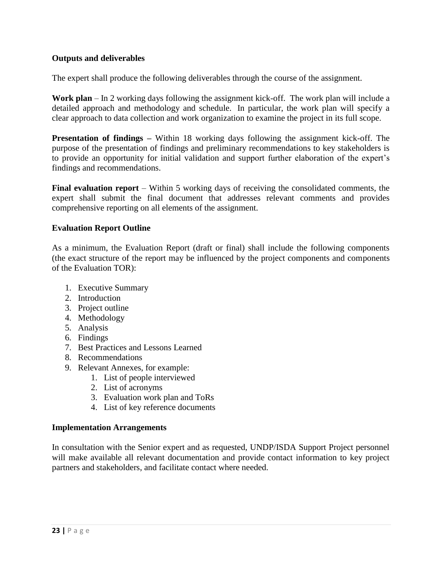### **Outputs and deliverables**

The expert shall produce the following deliverables through the course of the assignment.

**Work plan** – In 2 working days following the assignment kick-off. The work plan will include a detailed approach and methodology and schedule. In particular, the work plan will specify a clear approach to data collection and work organization to examine the project in its full scope.

**Presentation of findings –** Within 18 working days following the assignment kick-off. The purpose of the presentation of findings and preliminary recommendations to key stakeholders is to provide an opportunity for initial validation and support further elaboration of the expert's findings and recommendations.

**Final evaluation report** – Within 5 working days of receiving the consolidated comments, the expert shall submit the final document that addresses relevant comments and provides comprehensive reporting on all elements of the assignment.

#### **Evaluation Report Outline**

As a minimum, the Evaluation Report (draft or final) shall include the following components (the exact structure of the report may be influenced by the project components and components of the Evaluation TOR):

- 1. Executive Summary
- 2. Introduction
- 3. Project outline
- 4. Methodology
- 5. Analysis
- 6. Findings
- 7. Best Practices and Lessons Learned
- 8. Recommendations
- 9. Relevant Annexes, for example:
	- 1. List of people interviewed
		- 2. List of acronyms
		- 3. Evaluation work plan and ToRs
		- 4. List of key reference documents

#### **Implementation Arrangements**

In consultation with the Senior expert and as requested, UNDP/ISDA Support Project personnel will make available all relevant documentation and provide contact information to key project partners and stakeholders, and facilitate contact where needed.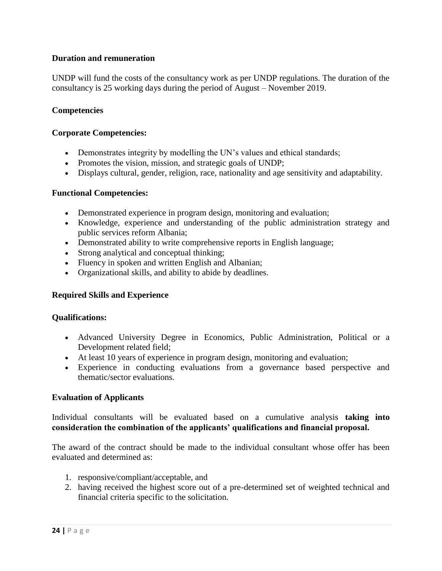### **Duration and remuneration**

UNDP will fund the costs of the consultancy work as per UNDP regulations. The duration of the consultancy is 25 working days during the period of August – November 2019.

#### **Competencies**

#### **Corporate Competencies:**

- Demonstrates integrity by modelling the UN's values and ethical standards;
- Promotes the vision, mission, and strategic goals of UNDP;
- Displays cultural, gender, religion, race, nationality and age sensitivity and adaptability.

#### **Functional Competencies:**

- Demonstrated experience in program design, monitoring and evaluation;
- Knowledge, experience and understanding of the public administration strategy and public services reform Albania;
- Demonstrated ability to write comprehensive reports in English language;
- Strong analytical and conceptual thinking;
- Fluency in spoken and written English and Albanian;
- Organizational skills, and ability to abide by deadlines.

#### **Required Skills and Experience**

#### **Qualifications:**

- Advanced University Degree in Economics, Public Administration, Political or a Development related field;
- At least 10 years of experience in program design, monitoring and evaluation;
- Experience in conducting evaluations from a governance based perspective and thematic/sector evaluations.

#### **Evaluation of Applicants**

Individual consultants will be evaluated based on a cumulative analysis **taking into consideration the combination of the applicants' qualifications and financial proposal.**

The award of the contract should be made to the individual consultant whose offer has been evaluated and determined as:

- 1. responsive/compliant/acceptable, and
- 2. having received the highest score out of a pre-determined set of weighted technical and financial criteria specific to the solicitation.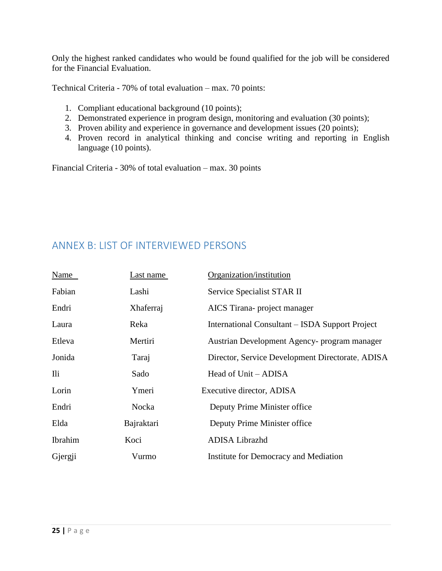Only the highest ranked candidates who would be found qualified for the job will be considered for the Financial Evaluation.

Technical Criteria - 70% of total evaluation – max. 70 points:

- 1. Compliant educational background (10 points);
- 2. Demonstrated experience in program design, monitoring and evaluation (30 points);
- 3. Proven ability and experience in governance and development issues (20 points);
- 4. Proven record in analytical thinking and concise writing and reporting in English language (10 points).

Financial Criteria - 30% of total evaluation – max. 30 points

### <span id="page-25-0"></span>ANNEX B: LIST OF INTERVIEWED PERSONS

<span id="page-25-1"></span>

| <u>Last name</u> | Organization/institution                         |
|------------------|--------------------------------------------------|
| Lashi            | Service Specialist STAR II                       |
| Xhaferraj        | AICS Tirana- project manager                     |
| Reka             | International Consultant – ISDA Support Project  |
| Mertiri          | Austrian Development Agency- program manager     |
| Taraj            | Director, Service Development Directorate, ADISA |
| Sado             | Head of Unit – ADISA                             |
| Ymeri            | Executive director, ADISA                        |
| Nocka            | Deputy Prime Minister office                     |
| Bajraktari       | Deputy Prime Minister office                     |
| Koci             | ADISA Librazhd                                   |
| Vurmo            | Institute for Democracy and Mediation            |
|                  |                                                  |